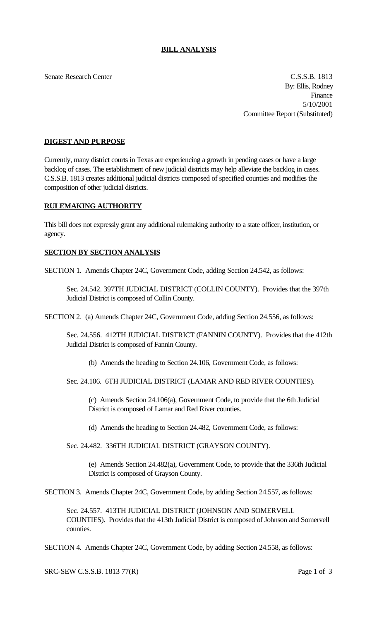## **BILL ANALYSIS**

Senate Research Center C.S.S.B. 1813

By: Ellis, Rodney Finance 5/10/2001 Committee Report (Substituted)

## **DIGEST AND PURPOSE**

Currently, many district courts in Texas are experiencing a growth in pending cases or have a large backlog of cases. The establishment of new judicial districts may help alleviate the backlog in cases. C.S.S.B. 1813 creates additional judicial districts composed of specified counties and modifies the composition of other judicial districts.

## **RULEMAKING AUTHORITY**

This bill does not expressly grant any additional rulemaking authority to a state officer, institution, or agency.

## **SECTION BY SECTION ANALYSIS**

SECTION 1. Amends Chapter 24C, Government Code, adding Section 24.542, as follows:

Sec. 24.542. 397TH JUDICIAL DISTRICT (COLLIN COUNTY). Provides that the 397th Judicial District is composed of Collin County.

SECTION 2. (a) Amends Chapter 24C, Government Code, adding Section 24.556, as follows:

Sec. 24.556. 412TH JUDICIAL DISTRICT (FANNIN COUNTY). Provides that the 412th Judicial District is composed of Fannin County.

(b) Amends the heading to Section 24.106, Government Code, as follows:

Sec. 24.106. 6TH JUDICIAL DISTRICT (LAMAR AND RED RIVER COUNTIES).

(c) Amends Section 24.106(a), Government Code, to provide that the 6th Judicial District is composed of Lamar and Red River counties.

(d) Amends the heading to Section 24.482, Government Code, as follows:

Sec. 24.482. 336TH JUDICIAL DISTRICT (GRAYSON COUNTY).

(e) Amends Section 24.482(a), Government Code, to provide that the 336th Judicial District is composed of Grayson County.

SECTION 3. Amends Chapter 24C, Government Code, by adding Section 24.557, as follows:

Sec. 24.557. 413TH JUDICIAL DISTRICT (JOHNSON AND SOMERVELL COUNTIES). Provides that the 413th Judicial District is composed of Johnson and Somervell counties.

SECTION 4. Amends Chapter 24C, Government Code, by adding Section 24.558, as follows: